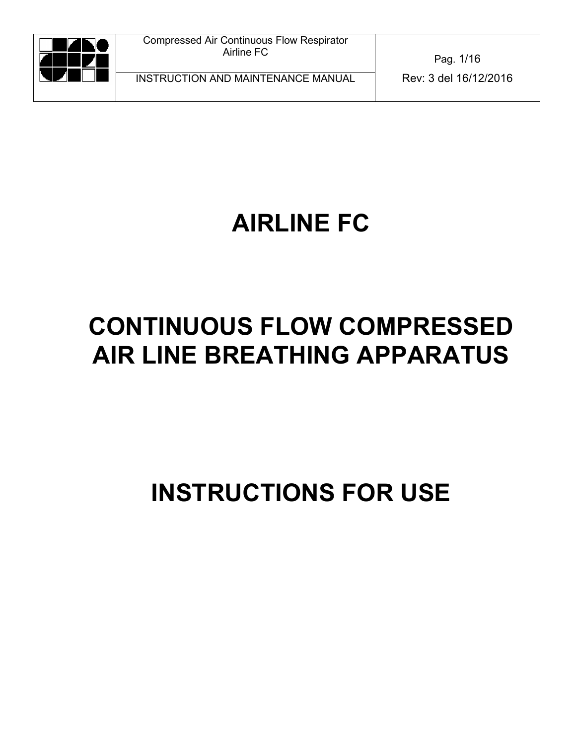

INSTRUCTION AND MAINTENANCE MANUAL Rev: 3 del 16/12/2016

Pag. 1/16

# **AIRLINE FC**

# **CONTINUOUS FLOW COMPRESSED AIR LINE BREATHING APPARATUS**

# **INSTRUCTIONS FOR USE**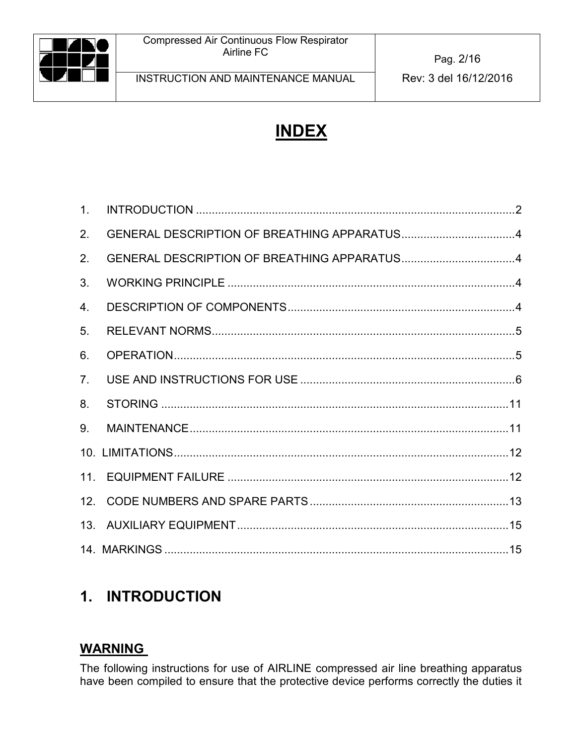

# **INDEX**

| 1 <sub>1</sub> |                                             |  |
|----------------|---------------------------------------------|--|
| 2.             | GENERAL DESCRIPTION OF BREATHING APPARATUS4 |  |
| 2.             | GENERAL DESCRIPTION OF BREATHING APPARATUS4 |  |
| 3.             |                                             |  |
| 4.             |                                             |  |
| 5.             |                                             |  |
| 6.             |                                             |  |
| 7.             |                                             |  |
| 8.             |                                             |  |
| 9.             |                                             |  |
|                |                                             |  |
|                |                                             |  |
|                |                                             |  |
|                |                                             |  |
|                |                                             |  |

# <span id="page-1-0"></span>**1. INTRODUCTION**

## **WARNING**

The following instructions for use of AIRLINE compressed air line breathing apparatus have been compiled to ensure that the protective device performs correctly the duties it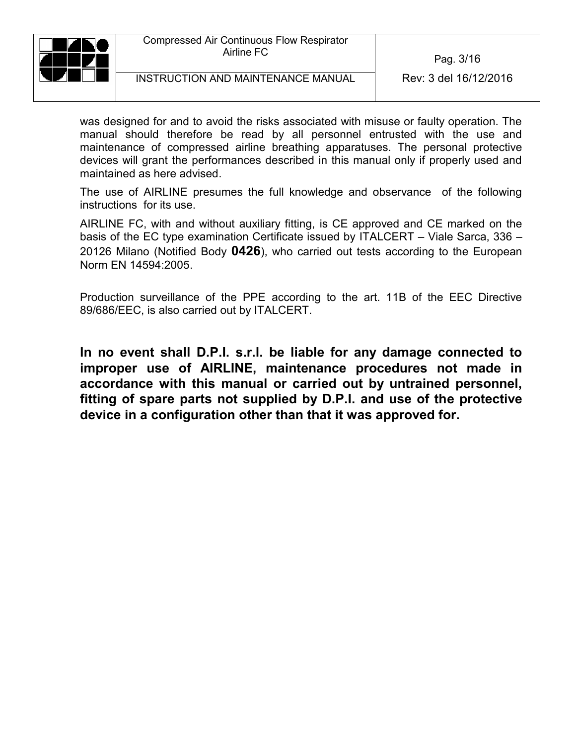

Pag. 3/16

was designed for and to avoid the risks associated with misuse or faulty operation. The manual should therefore be read by all personnel entrusted with the use and maintenance of compressed airline breathing apparatuses. The personal protective devices will grant the performances described in this manual only if properly used and maintained as here advised.

The use of AIRLINE presumes the full knowledge and observance of the following instructions for its use.

AIRLINE FC, with and without auxiliary fitting, is CE approved and CE marked on the basis of the EC type examination Certificate issued by ITALCERT – Viale Sarca, 336 – 20126 Milano (Notified Body **0426**), who carried out tests according to the European Norm EN 14594:2005.

Production surveillance of the PPE according to the art. 11B of the EEC Directive 89/686/EEC, is also carried out by ITALCERT.

**In no event shall D.P.I. s.r.l. be liable for any damage connected to improper use of AIRLINE, maintenance procedures not made in accordance with this manual or carried out by untrained personnel, fitting of spare parts not supplied by D.P.I. and use of the protective device in a configuration other than that it was approved for.**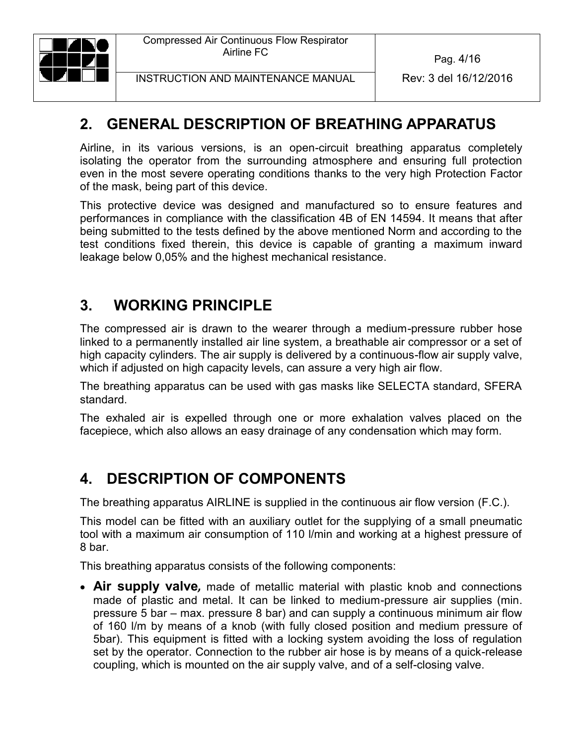

Pag. 4/16

INSTRUCTION AND MAINTENANCE MANUAL Rev: 3 del 16/12/2016

## <span id="page-3-0"></span>**2. GENERAL DESCRIPTION OF BREATHING APPARATUS**

Airline, in its various versions, is an open-circuit breathing apparatus completely isolating the operator from the surrounding atmosphere and ensuring full protection even in the most severe operating conditions thanks to the very high Protection Factor of the mask, being part of this device.

This protective device was designed and manufactured so to ensure features and performances in compliance with the classification 4B of EN 14594. It means that after being submitted to the tests defined by the above mentioned Norm and according to the test conditions fixed therein, this device is capable of granting a maximum inward leakage below 0,05% and the highest mechanical resistance.

## <span id="page-3-1"></span>**3. WORKING PRINCIPLE**

The compressed air is drawn to the wearer through a medium-pressure rubber hose linked to a permanently installed air line system, a breathable air compressor or a set of high capacity cylinders. The air supply is delivered by a continuous-flow air supply valve, which if adjusted on high capacity levels, can assure a very high air flow.

The breathing apparatus can be used with gas masks like SELECTA standard, SFERA standard.

The exhaled air is expelled through one or more exhalation valves placed on the facepiece, which also allows an easy drainage of any condensation which may form.

## <span id="page-3-2"></span>**4. DESCRIPTION OF COMPONENTS**

The breathing apparatus AIRLINE is supplied in the continuous air flow version (F.C.).

This model can be fitted with an auxiliary outlet for the supplying of a small pneumatic tool with a maximum air consumption of 110 l/min and working at a highest pressure of 8 bar.

This breathing apparatus consists of the following components:

 **Air supply valve***,* made of metallic material with plastic knob and connections made of plastic and metal. It can be linked to medium-pressure air supplies (min. pressure 5 bar – max. pressure 8 bar) and can supply a continuous minimum air flow of 160 l/m by means of a knob (with fully closed position and medium pressure of 5bar). This equipment is fitted with a locking system avoiding the loss of regulation set by the operator. Connection to the rubber air hose is by means of a quick-release coupling, which is mounted on the air supply valve, and of a self-closing valve.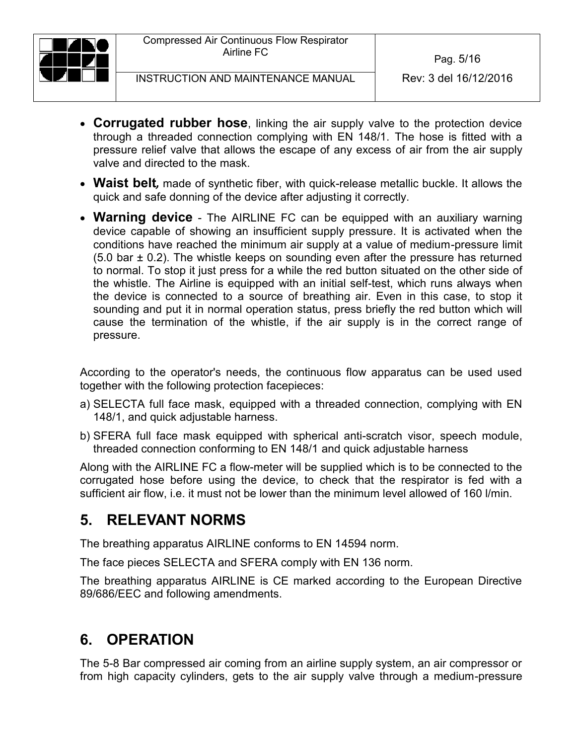

- **Corrugated rubber hose**, linking the air supply valve to the protection device through a threaded connection complying with EN 148/1. The hose is fitted with a pressure relief valve that allows the escape of any excess of air from the air supply valve and directed to the mask.
- **Waist belt***,* made of synthetic fiber, with quick-release metallic buckle. It allows the quick and safe donning of the device after adjusting it correctly.
- **Warning device** The AIRLINE FC can be equipped with an auxiliary warning device capable of showing an insufficient supply pressure. It is activated when the conditions have reached the minimum air supply at a value of medium-pressure limit  $(5.0 \text{ bar} \pm 0.2)$ . The whistle keeps on sounding even after the pressure has returned to normal. To stop it just press for a while the red button situated on the other side of the whistle. The Airline is equipped with an initial self-test, which runs always when the device is connected to a source of breathing air. Even in this case, to stop it sounding and put it in normal operation status, press briefly the red button which will cause the termination of the whistle, if the air supply is in the correct range of pressure.

According to the operator's needs, the continuous flow apparatus can be used used together with the following protection facepieces:

- a) SELECTA full face mask, equipped with a threaded connection, complying with EN 148/1, and quick adjustable harness.
- b) SFERA full face mask equipped with spherical anti-scratch visor, speech module, threaded connection conforming to EN 148/1 and quick adjustable harness

Along with the AIRLINE FC a flow-meter will be supplied which is to be connected to the corrugated hose before using the device, to check that the respirator is fed with a sufficient air flow, i.e. it must not be lower than the minimum level allowed of 160 l/min.

## <span id="page-4-0"></span>**5. RELEVANT NORMS**

The breathing apparatus AIRLINE conforms to EN 14594 norm.

The face pieces SELECTA and SFERA comply with EN 136 norm.

The breathing apparatus AIRLINE is CE marked according to the European Directive 89/686/EEC and following amendments.

## <span id="page-4-1"></span>**6. OPERATION**

The 5-8 Bar compressed air coming from an airline supply system, an air compressor or from high capacity cylinders, gets to the air supply valve through a medium-pressure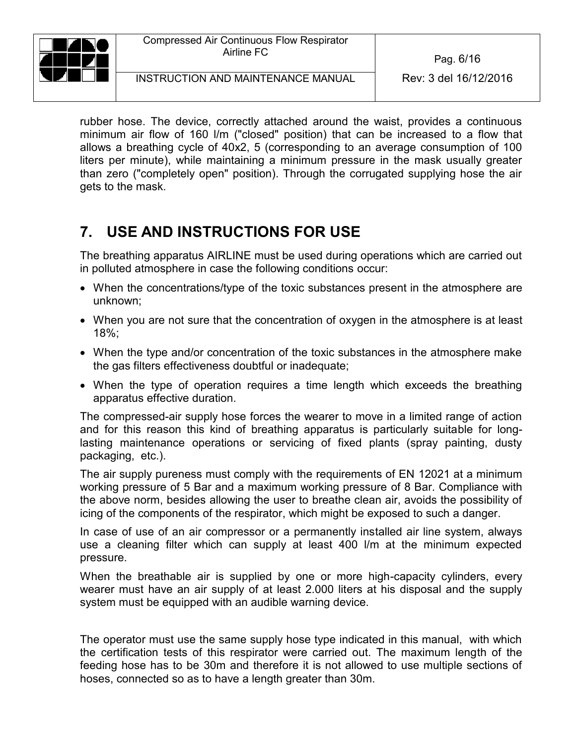

INSTRUCTION AND MAINTENANCE MANUAL Rev: 3 del 16/12/2016

rubber hose. The device, correctly attached around the waist, provides a continuous minimum air flow of 160 l/m ("closed" position) that can be increased to a flow that allows a breathing cycle of 40x2, 5 (corresponding to an average consumption of 100 liters per minute), while maintaining a minimum pressure in the mask usually greater than zero ("completely open" position). Through the corrugated supplying hose the air gets to the mask.

## <span id="page-5-0"></span>**7. USE AND INSTRUCTIONS FOR USE**

The breathing apparatus AIRLINE must be used during operations which are carried out in polluted atmosphere in case the following conditions occur:

- When the concentrations/type of the toxic substances present in the atmosphere are unknown;
- When you are not sure that the concentration of oxygen in the atmosphere is at least 18%;
- When the type and/or concentration of the toxic substances in the atmosphere make the gas filters effectiveness doubtful or inadequate;
- When the type of operation requires a time length which exceeds the breathing apparatus effective duration.

The compressed-air supply hose forces the wearer to move in a limited range of action and for this reason this kind of breathing apparatus is particularly suitable for longlasting maintenance operations or servicing of fixed plants (spray painting, dusty packaging, etc.).

The air supply pureness must comply with the requirements of EN 12021 at a minimum working pressure of 5 Bar and a maximum working pressure of 8 Bar. Compliance with the above norm, besides allowing the user to breathe clean air, avoids the possibility of icing of the components of the respirator, which might be exposed to such a danger.

In case of use of an air compressor or a permanently installed air line system, always use a cleaning filter which can supply at least 400 l/m at the minimum expected pressure.

When the breathable air is supplied by one or more high-capacity cylinders, every wearer must have an air supply of at least 2.000 liters at his disposal and the supply system must be equipped with an audible warning device.

The operator must use the same supply hose type indicated in this manual, with which the certification tests of this respirator were carried out. The maximum length of the feeding hose has to be 30m and therefore it is not allowed to use multiple sections of hoses, connected so as to have a length greater than 30m.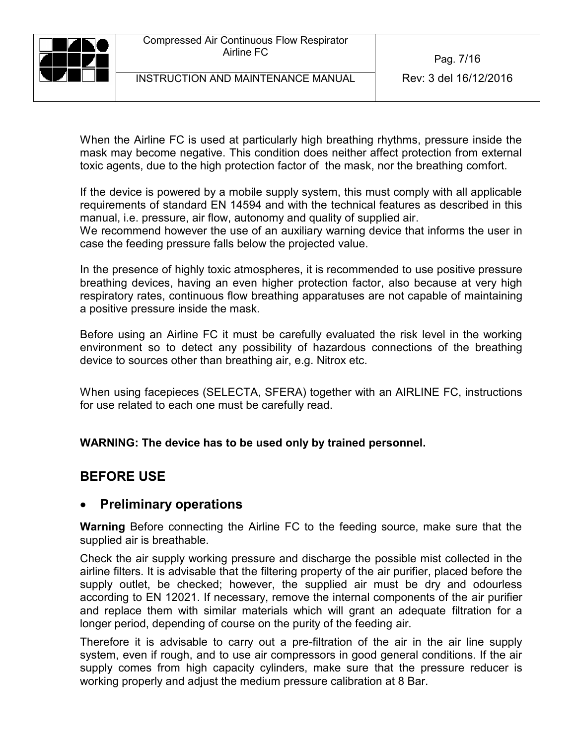Pag. 7/16

INSTRUCTION AND MAINTENANCE MANUAL Rev: 3 del 16/12/2016

When the Airline FC is used at particularly high breathing rhythms, pressure inside the mask may become negative. This condition does neither affect protection from external toxic agents, due to the high protection factor of the mask, nor the breathing comfort.

If the device is powered by a mobile supply system, this must comply with all applicable requirements of standard EN 14594 and with the technical features as described in this manual, i.e. pressure, air flow, autonomy and quality of supplied air.

We recommend however the use of an auxiliary warning device that informs the user in case the feeding pressure falls below the projected value.

In the presence of highly toxic atmospheres, it is recommended to use positive pressure breathing devices, having an even higher protection factor, also because at very high respiratory rates, continuous flow breathing apparatuses are not capable of maintaining a positive pressure inside the mask.

Before using an Airline FC it must be carefully evaluated the risk level in the working environment so to detect any possibility of hazardous connections of the breathing device to sources other than breathing air, e.g. Nitrox etc.

When using facepieces (SELECTA, SFERA) together with an AIRLINE FC, instructions for use related to each one must be carefully read.

**WARNING: The device has to be used only by trained personnel.** 

## **BEFORE USE**

### **Preliminary operations**

**Warning** Before connecting the Airline FC to the feeding source, make sure that the supplied air is breathable.

Check the air supply working pressure and discharge the possible mist collected in the airline filters. It is advisable that the filtering property of the air purifier, placed before the supply outlet, be checked; however, the supplied air must be dry and odourless according to EN 12021. If necessary, remove the internal components of the air purifier and replace them with similar materials which will grant an adequate filtration for a longer period, depending of course on the purity of the feeding air.

Therefore it is advisable to carry out a pre-filtration of the air in the air line supply system, even if rough, and to use air compressors in good general conditions. If the air supply comes from high capacity cylinders, make sure that the pressure reducer is working properly and adjust the medium pressure calibration at 8 Bar.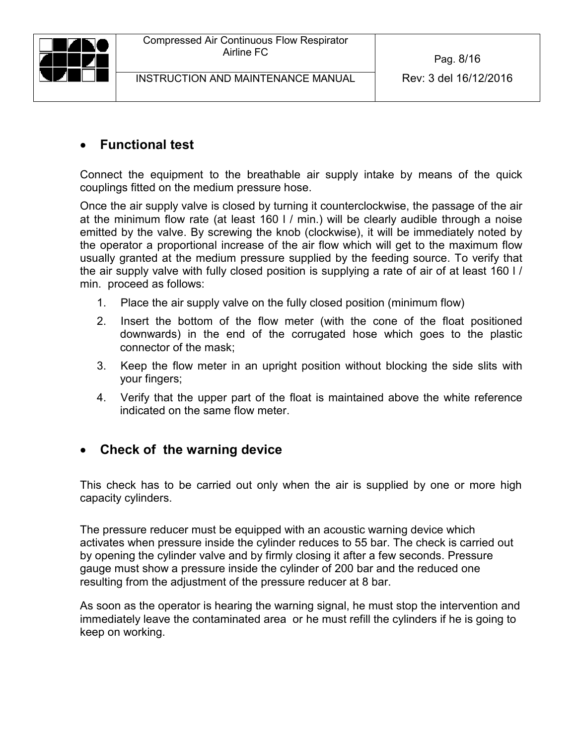

### **Functional test**

Connect the equipment to the breathable air supply intake by means of the quick couplings fitted on the medium pressure hose.

Once the air supply valve is closed by turning it counterclockwise, the passage of the air at the minimum flow rate (at least 160 l / min.) will be clearly audible through a noise emitted by the valve. By screwing the knob (clockwise), it will be immediately noted by the operator a proportional increase of the air flow which will get to the maximum flow usually granted at the medium pressure supplied by the feeding source. To verify that the air supply valve with fully closed position is supplying a rate of air of at least 160 l / min. proceed as follows:

- 1. Place the air supply valve on the fully closed position (minimum flow)
- 2. Insert the bottom of the flow meter (with the cone of the float positioned downwards) in the end of the corrugated hose which goes to the plastic connector of the mask;
- 3. Keep the flow meter in an upright position without blocking the side slits with your fingers;
- 4. Verify that the upper part of the float is maintained above the white reference indicated on the same flow meter.

### **Check of the warning device**

This check has to be carried out only when the air is supplied by one or more high capacity cylinders.

The pressure reducer must be equipped with an acoustic warning device which activates when pressure inside the cylinder reduces to 55 bar. The check is carried out by opening the cylinder valve and by firmly closing it after a few seconds. Pressure gauge must show a pressure inside the cylinder of 200 bar and the reduced one resulting from the adjustment of the pressure reducer at 8 bar.

As soon as the operator is hearing the warning signal, he must stop the intervention and immediately leave the contaminated area or he must refill the cylinders if he is going to keep on working.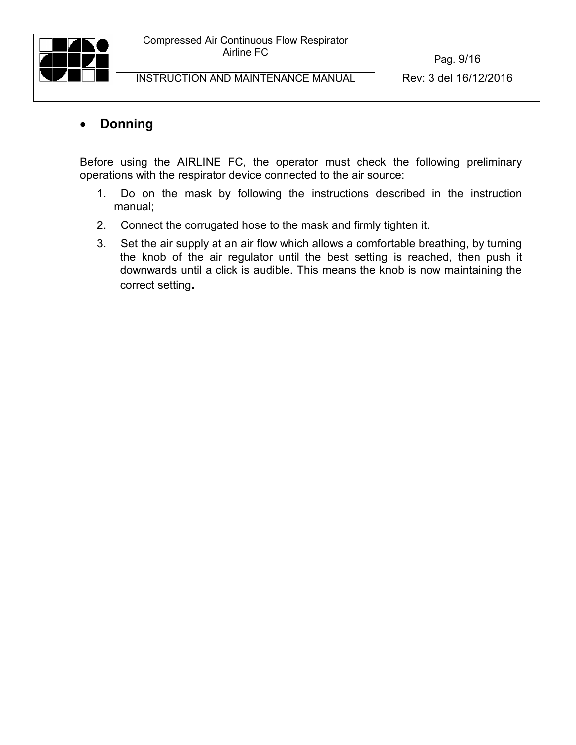

#### **Donning**

Before using the AIRLINE FC, the operator must check the following preliminary operations with the respirator device connected to the air source:

- 1. Do on the mask by following the instructions described in the instruction manual;
- 2. Connect the corrugated hose to the mask and firmly tighten it.
- 3. Set the air supply at an air flow which allows a comfortable breathing, by turning the knob of the air regulator until the best setting is reached, then push it downwards until a click is audible. This means the knob is now maintaining the correct setting**.**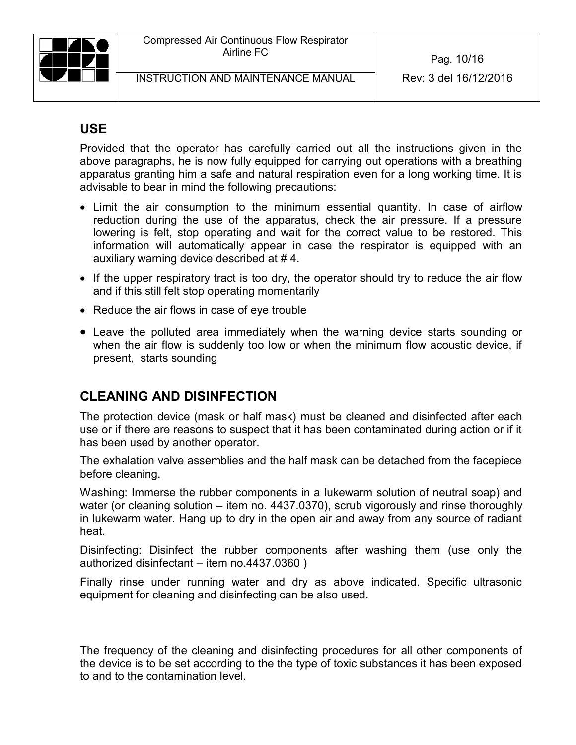

Pag. 10/16

## **USE**

Provided that the operator has carefully carried out all the instructions given in the above paragraphs, he is now fully equipped for carrying out operations with a breathing apparatus granting him a safe and natural respiration even for a long working time. It is advisable to bear in mind the following precautions:

- Limit the air consumption to the minimum essential quantity. In case of airflow reduction during the use of the apparatus, check the air pressure. If a pressure lowering is felt, stop operating and wait for the correct value to be restored. This information will automatically appear in case the respirator is equipped with an auxiliary warning device described at # 4.
- If the upper respiratory tract is too dry, the operator should try to reduce the air flow and if this still felt stop operating momentarily
- Reduce the air flows in case of eye trouble
- Leave the polluted area immediately when the warning device starts sounding or when the air flow is suddenly too low or when the minimum flow acoustic device, if present, starts sounding

## **CLEANING AND DISINFECTION**

The protection device (mask or half mask) must be cleaned and disinfected after each use or if there are reasons to suspect that it has been contaminated during action or if it has been used by another operator.

The exhalation valve assemblies and the half mask can be detached from the facepiece before cleaning.

Washing: Immerse the rubber components in a lukewarm solution of neutral soap) and water (or cleaning solution – item no. 4437.0370), scrub vigorously and rinse thoroughly in lukewarm water. Hang up to dry in the open air and away from any source of radiant heat.

Disinfecting: Disinfect the rubber components after washing them (use only the authorized disinfectant – item no.4437.0360 )

Finally rinse under running water and dry as above indicated. Specific ultrasonic equipment for cleaning and disinfecting can be also used.

The frequency of the cleaning and disinfecting procedures for all other components of the device is to be set according to the the type of toxic substances it has been exposed to and to the contamination level.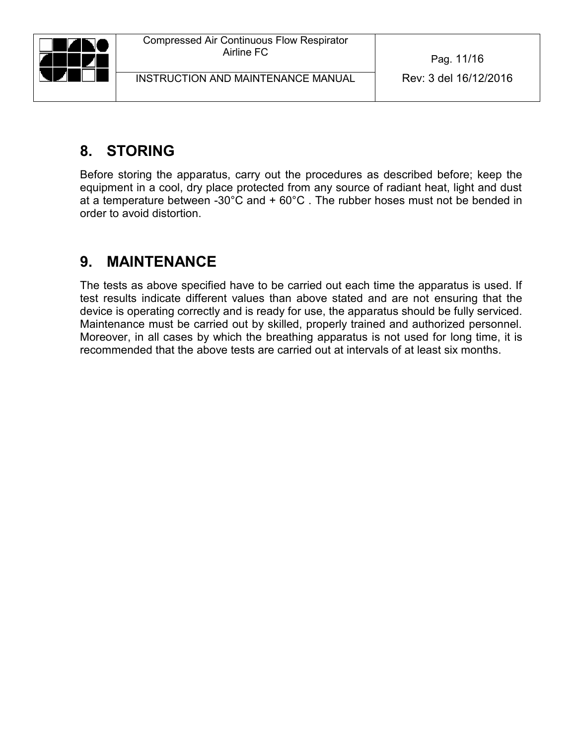

Pag. 11/16

# <span id="page-10-0"></span>**8. STORING**

Before storing the apparatus, carry out the procedures as described before; keep the equipment in a cool, dry place protected from any source of radiant heat, light and dust at a temperature between -30°C and + 60°C . The rubber hoses must not be bended in order to avoid distortion.

# <span id="page-10-1"></span>**9. MAINTENANCE**

The tests as above specified have to be carried out each time the apparatus is used. If test results indicate different values than above stated and are not ensuring that the device is operating correctly and is ready for use, the apparatus should be fully serviced. Maintenance must be carried out by skilled, properly trained and authorized personnel. Moreover, in all cases by which the breathing apparatus is not used for long time, it is recommended that the above tests are carried out at intervals of at least six months.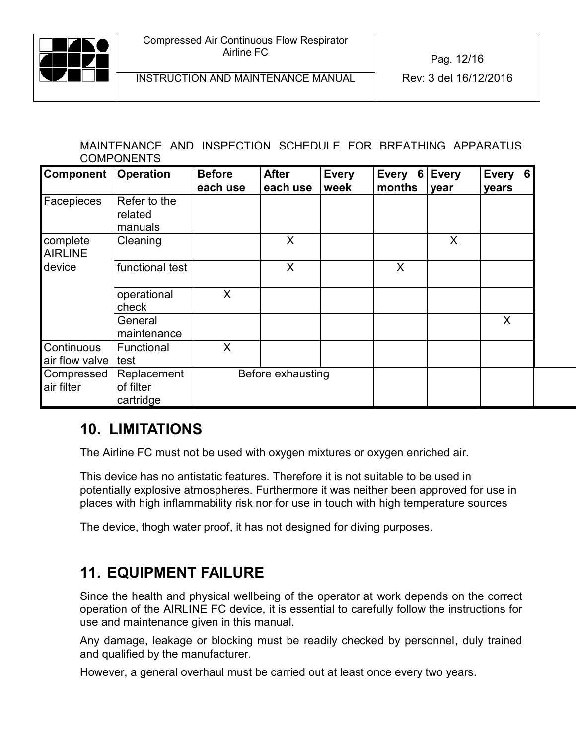

#### MAINTENANCE AND INSPECTION SCHEDULE FOR BREATHING APPARATUS COMPONENTS

| Component                    | <b>Operation</b>                                           | <b>Before</b><br>each use | <b>After</b><br>each use | <b>Every</b><br>week | <b>Every</b><br>6<br>months | <b>Every</b><br>year | <b>Every</b><br>6<br>years |
|------------------------------|------------------------------------------------------------|---------------------------|--------------------------|----------------------|-----------------------------|----------------------|----------------------------|
| Facepieces                   | Refer to the<br>related<br>manuals                         |                           |                          |                      |                             |                      |                            |
| complete<br><b>AIRLINE</b>   | Cleaning                                                   |                           | X                        |                      |                             | X                    |                            |
| device                       | functional test                                            |                           | X                        |                      | X                           |                      |                            |
|                              | operational<br>check                                       | X                         |                          |                      |                             |                      |                            |
|                              | General<br>maintenance                                     |                           |                          |                      |                             |                      | X                          |
| Continuous<br>air flow valve | Functional<br>test                                         | X                         |                          |                      |                             |                      |                            |
| Compressed<br>air filter     | Replacement<br>Before exhausting<br>of filter<br>cartridge |                           |                          |                      |                             |                      |                            |

## <span id="page-11-0"></span>**10. LIMITATIONS**

The Airline FC must not be used with oxygen mixtures or oxygen enriched air.

This device has no antistatic features. Therefore it is not suitable to be used in potentially explosive atmospheres. Furthermore it was neither been approved for use in places with high inflammability risk nor for use in touch with high temperature sources

The device, thogh water proof, it has not designed for diving purposes.

## <span id="page-11-1"></span>**11. EQUIPMENT FAILURE**

Since the health and physical wellbeing of the operator at work depends on the correct operation of the AIRLINE FC device, it is essential to carefully follow the instructions for use and maintenance given in this manual.

Any damage, leakage or blocking must be readily checked by personnel, duly trained and qualified by the manufacturer.

However, a general overhaul must be carried out at least once every two years.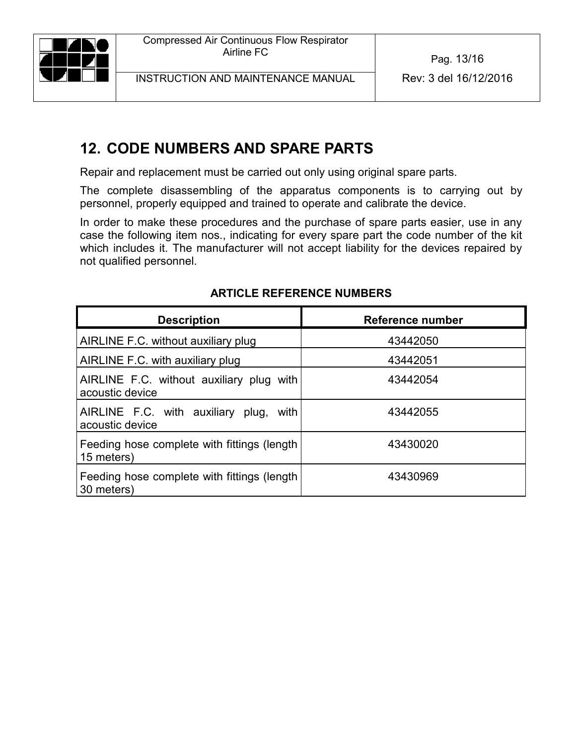# <span id="page-12-0"></span>**12. CODE NUMBERS AND SPARE PARTS**

Repair and replacement must be carried out only using original spare parts.

The complete disassembling of the apparatus components is to carrying out by personnel, properly equipped and trained to operate and calibrate the device.

In order to make these procedures and the purchase of spare parts easier, use in any case the following item nos., indicating for every spare part the code number of the kit which includes it. The manufacturer will not accept liability for the devices repaired by not qualified personnel.

| <b>Description</b>                                          | Reference number |
|-------------------------------------------------------------|------------------|
| AIRLINE F.C. without auxiliary plug                         | 43442050         |
| AIRLINE F.C. with auxiliary plug                            | 43442051         |
| AIRLINE F.C. without auxiliary plug with<br>acoustic device | 43442054         |
| AIRLINE F.C. with auxiliary plug, with<br>acoustic device   | 43442055         |
| Feeding hose complete with fittings (length<br>15 meters)   | 43430020         |
| Feeding hose complete with fittings (length<br>30 meters)   | 43430969         |

#### **ARTICLE REFERENCE NUMBERS**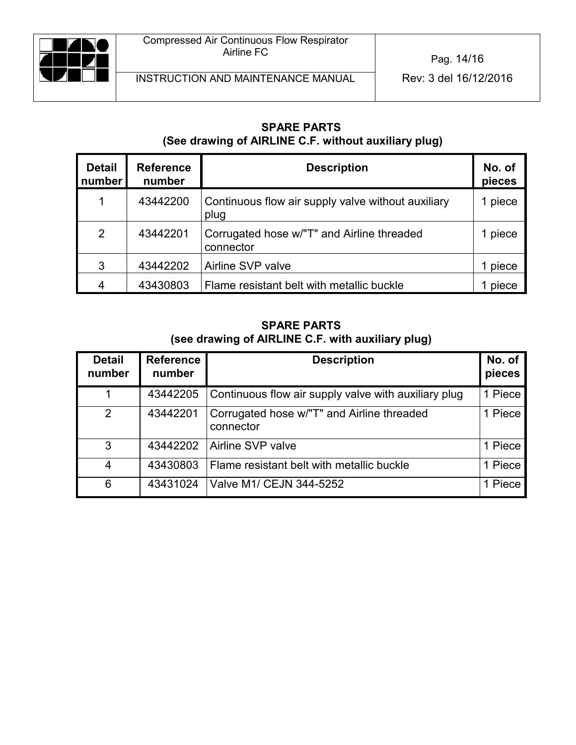

#### **SPARE PARTS (See drawing of AIRLINE C.F. without auxiliary plug)**

| <b>Detail</b><br>number | <b>Reference</b><br>number | <b>Description</b>                                         | No. of<br>pieces |
|-------------------------|----------------------------|------------------------------------------------------------|------------------|
| 1                       | 43442200                   | Continuous flow air supply valve without auxiliary<br>plug | l piece          |
| 2                       | 43442201                   | Corrugated hose w/"T" and Airline threaded<br>connector    | 1 piece          |
| 3                       | 43442202                   | Airline SVP valve                                          | piece            |
| 4                       | 43430803                   | Flame resistant belt with metallic buckle                  | piece            |

#### **SPARE PARTS (see drawing of AIRLINE C.F. with auxiliary plug)**

| <b>Detail</b><br>number | <b>Reference</b><br>number | <b>Description</b>                                      | No. of<br>pieces |
|-------------------------|----------------------------|---------------------------------------------------------|------------------|
|                         | 43442205                   | Continuous flow air supply valve with auxiliary plug    | 1 Piece          |
| $\overline{2}$          | 43442201                   | Corrugated hose w/"T" and Airline threaded<br>connector | 1 Piece          |
| 3                       | 43442202                   | Airline SVP valve                                       | 1 Piece          |
| 4                       | 43430803                   | Flame resistant belt with metallic buckle               | 1 Piece          |
| 6                       | 43431024                   | Valve M1/ CEJN 344-5252                                 | 1 Piece          |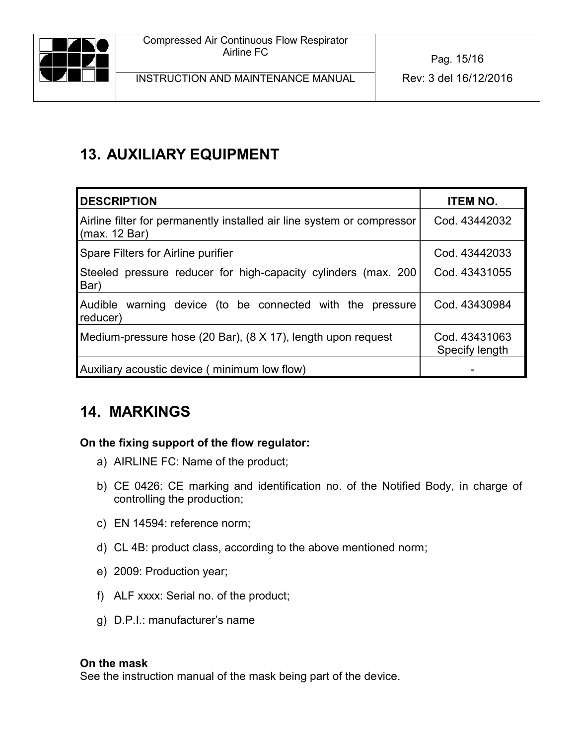

# <span id="page-14-0"></span>**13. AUXILIARY EQUIPMENT**

| <b>IDESCRIPTION</b>                                                                     | <b>ITEM NO.</b>                 |
|-----------------------------------------------------------------------------------------|---------------------------------|
| Airline filter for permanently installed air line system or compressor<br>(max. 12 Bar) | Cod. 43442032                   |
| Spare Filters for Airline purifier                                                      | Cod. 43442033                   |
| Steeled pressure reducer for high-capacity cylinders (max. 200<br>Bar)                  | Cod. 43431055                   |
| <b>Audible</b><br>warning device (to be connected with the pressure<br>reducer)         | Cod. 43430984                   |
| Medium-pressure hose (20 Bar), (8 X 17), length upon request                            | Cod. 43431063<br>Specify length |
| Auxiliary acoustic device (minimum low flow)                                            |                                 |

## <span id="page-14-1"></span>**14. MARKINGS**

#### **On the fixing support of the flow regulator:**

- a) AIRLINE FC: Name of the product;
- b) CE 0426: CE marking and identification no. of the Notified Body, in charge of controlling the production;
- c) EN 14594: reference norm;
- d) CL 4B: product class, according to the above mentioned norm;
- e) 2009: Production year;
- f) ALF xxxx: Serial no. of the product;
- g) D.P.I.: manufacturer's name

#### **On the mask**

See the instruction manual of the mask being part of the device.